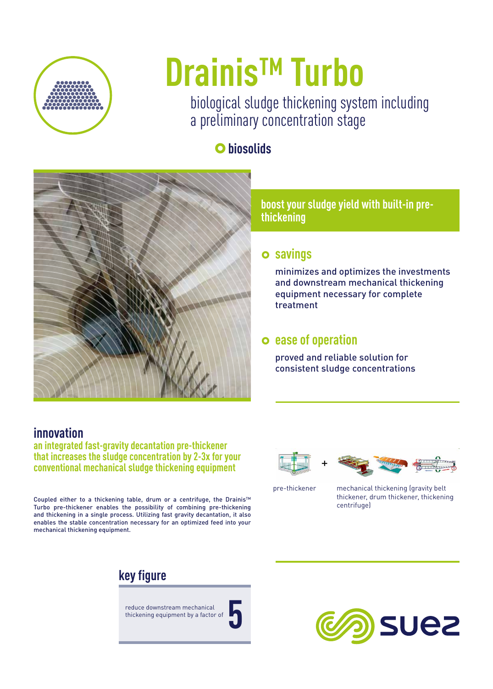

# **Drainis™ Turbo**

biological sludge thickening system including a preliminary concentration stage

## }**biosolids**



**boost your sludge yield with built-in prethickening**

#### } **savings**

minimizes and optimizes the investments and downstream mechanical thickening equipment necessary for complete treatment

#### } **ease of operation**

proved and reliable solution for consistent sludge concentrations

#### **innovation**

**an integrated fast-gravity decantation pre-thickener that increases the sludge concentration by 2-3x for your conventional mechanical sludge thickening equipment**

Coupled either to a thickening table, drum or a centrifuge, the Drainis™ Turbo pre-thickener enables the possibility of combining pre-thickening and thickening in a single process. Utilizing fast gravity decantation, it also enables the stable concentration necessary for an optimized feed into your mechanical thickening equipment.

### **key figure**

reduce downstream mechanical thickening equipment by a factor of **5**











pre-thickener mechanical thickening (gravity belt thickener, drum thickener, thickening centrifuge)